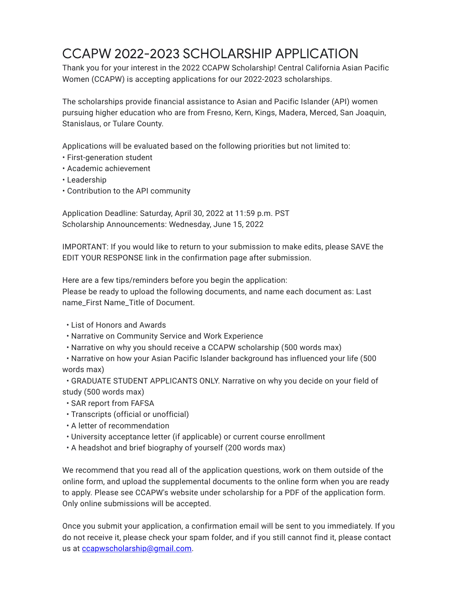# CCAPW 2022-2023 SCHOLARSHIP APPLICATION

Thank you for your interest in the 2022 CCAPW Scholarship! Central California Asian Pacific Women (CCAPW) is accepting applications for our 2022-2023 scholarships.

The scholarships provide financial assistance to Asian and Pacific Islander (API) women pursuing higher education who are from Fresno, Kern, Kings, Madera, Merced, San Joaquin, Stanislaus, or Tulare County.

Applications will be evaluated based on the following priorities but not limited to:

- First-generation student
- Academic achievement
- Leadership
- Contribution to the API community

Application Deadline: Saturday, April 30, 2022 at 11:59 p.m. PST Scholarship Announcements: Wednesday, June 15, 2022

IMPORTANT: If you would like to return to your submission to make edits, please SAVE the EDIT YOUR RESPONSE link in the confirmation page after submission.

Here are a few tips/reminders before you begin the application:

Please be ready to upload the following documents, and name each document as: Last name\_First Name\_Title of Document.

- List of Honors and Awards
- Narrative on Community Service and Work Experience
- Narrative on why you should receive a CCAPW scholarship (500 words max)

• Narrative on how your Asian Pacific Islander background has influenced your life (500 words max)

• GRADUATE STUDENT APPLICANTS ONLY. Narrative on why you decide on your field of study (500 words max)

- SAR report from FAFSA
- Transcripts (official or unofficial)
- A letter of recommendation
- University acceptance letter (if applicable) or current course enrollment
- A headshot and brief biography of yourself (200 words max)

We recommend that you read all of the application questions, work on them outside of the online form, and upload the supplemental documents to the online form when you are ready to apply. Please see CCAPW's website under scholarship for a PDF of the application form. Only online submissions will be accepted.

Once you submit your application, a confirmation email will be sent to you immediately. If you do not receive it, please check your spam folder, and if you still cannot find it, please contact us at [ccapwscholarship@gmail.com.](mailto:ccapwscholarship@gmail.com)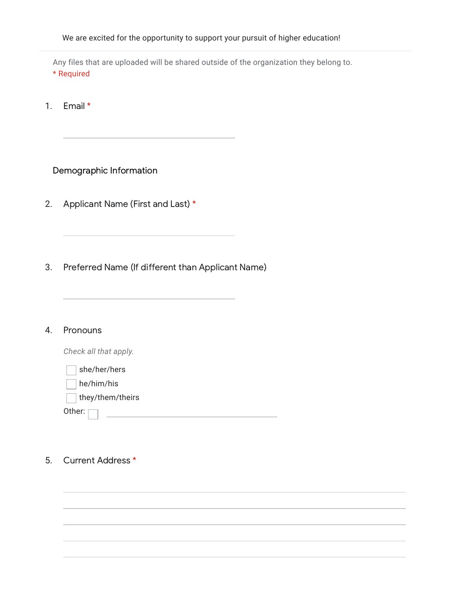We are excited for the opportunity to support your pursuit of higher education!

Any files that are uploaded will be shared outside of the organization they belong to. \* Required

1. Email \*

# Demographic Information

- 2. Applicant Name (First and Last) \*
- 3. Preferred Name (If different than Applicant Name)

#### 4. **Pronouns**

*Check all that apply.*

| she/her/hers         |  |  |
|----------------------|--|--|
| he/him/his           |  |  |
| $ $ they/them/theirs |  |  |
| Other: $\Box$        |  |  |
|                      |  |  |

### 5. Current Address \*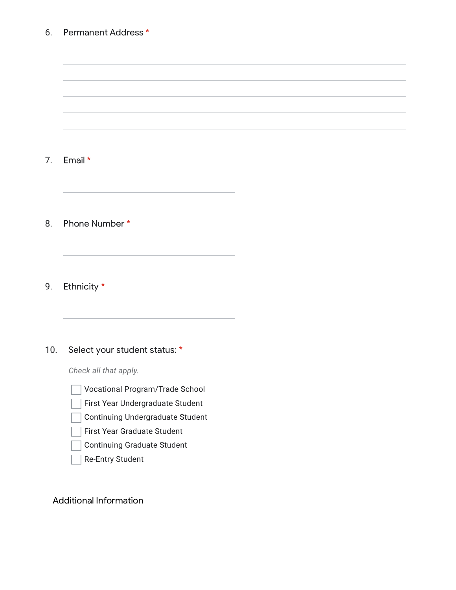#### 6. Permanent Address \*

7. Email \*

8. Phone Number \*

9. Ethnicity \*

#### 10. Select your student status: \*

*Check all that apply.*



- First Year Undergraduate Student
- Continuing Undergraduate Student  $\mathbb{R}$
- First Year Graduate Student
- Continuing Graduate Student
- Re-Entry Student

Additional Information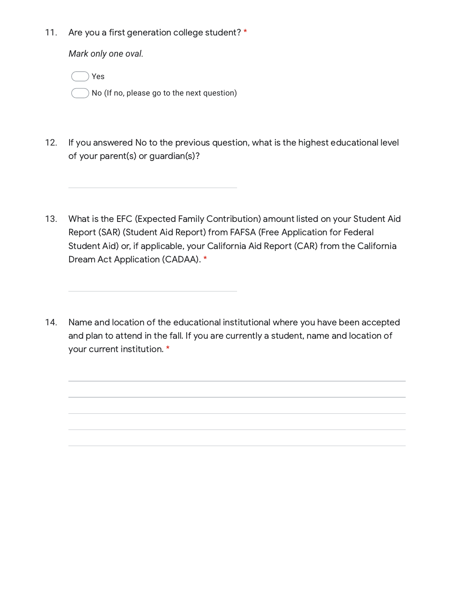11. Are you a first generation college student? \*

*Mark only one oval.*

Yes

No (If no, please go to the next question)

- 12. If you answered No to the previous question, what is the highest educational level of your parent(s) or guardian(s)?
- 13. What is the EFC (Expected Family Contribution) amount listed on your Student Aid Report (SAR) (Student Aid Report) from FAFSA (Free Application for Federal Student Aid) or, if applicable, your California Aid Report (CAR) from the California Dream Act Application (CADAA). \*
- 14. Name and location of the educational institutional where you have been accepted and plan to attend in the fall. If you are currently a student, name and location of your current institution. \*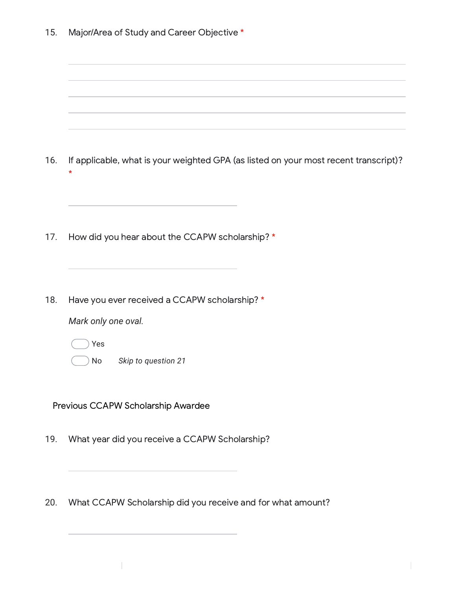| 15. | Major/Area of Study and Career Objective * |  |  |
|-----|--------------------------------------------|--|--|
|-----|--------------------------------------------|--|--|

| 16. | If applicable, what is your weighted GPA (as listed on your most recent transcript)?<br>$\star$          |
|-----|----------------------------------------------------------------------------------------------------------|
| 17. | How did you hear about the CCAPW scholarship? *                                                          |
| 18. | Have you ever received a CCAPW scholarship? *<br>Mark only one oval.<br>Yes<br>Skip to question 21<br>No |
|     | Previous CCAPW Scholarship Awardee                                                                       |
| 19. | What year did you receive a CCAPW Scholarship?<br><u> 1989 - Johann Barbara, martxa alemaniar arg</u>    |
| 20. | What CCAPW Scholarship did you receive and for what amount?                                              |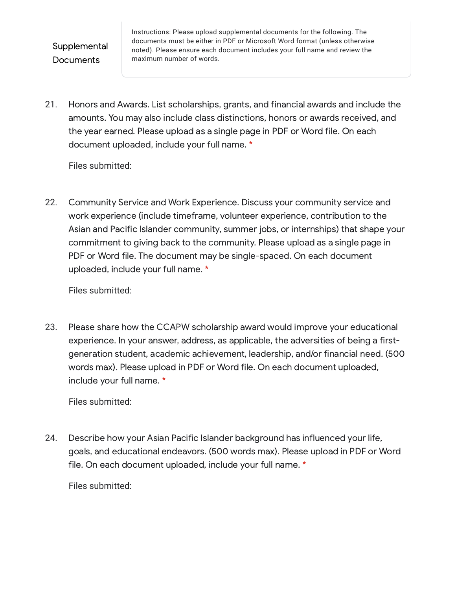# **Supplemental Documents**

Instructions: Please upload supplemental documents for the following. The documents must be either in PDF or Microsoft Word format (unless otherwise noted). Please ensure each document includes your full name and review the maximum number of words.

21. Honors and Awards. List scholarships, grants, and financial awards and include the amounts. You may also include class distinctions, honors or awards received, and the year earned. Please upload as a single page in PDF or Word file. On each document uploaded, include your full name. \*

Files submitted:

22. Community Service and Work Experience. Discuss your community service and work experience (include timeframe, volunteer experience, contribution to the Asian and Pacific Islander community, summer jobs, or internships) that shape your commitment to giving back to the community. Please upload as a single page in PDF or Word file. The document may be single-spaced. On each document uploaded, include your full name. \*

Files submitted:

23. Please share how the CCAPW scholarship award would improve your educational experience. In your answer, address, as applicable, the adversities of being a firstgeneration student, academic achievement, leadership, and/or financial need. (500 words max). Please upload in PDF or Word file. On each document uploaded, include your full name. \*

Files submitted:

24. Describe how your Asian Pacific Islander background has influenced your life, goals, and educational endeavors. (500 words max). Please upload in PDF or Word file. On each document uploaded, include your full name. \*

Files submitted: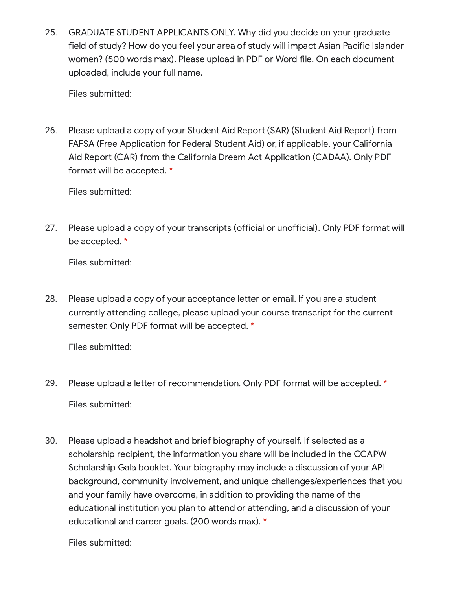25. GRADUATE STUDENT APPLICANTS ONLY. Why did you decide on your graduate field of study? How do you feel your area of study will impact Asian Pacific Islander women? (500 words max). Please upload in PDF or Word file. On each document uploaded, include your full name.

Files submitted:

26. Please upload a copy of your Student Aid Report (SAR) (Student Aid Report) from FAFSA (Free Application for Federal Student Aid) or, if applicable, your California Aid Report (CAR) from the California Dream Act Application (CADAA). Only PDF format will be accepted. \*

Files submitted:

27. Please upload a copy of your transcripts (official or unofficial). Only PDF format will be accepted. \*

Files submitted:

28. Please upload a copy of your acceptance letter or email. If you are a student currently attending college, please upload your course transcript for the current semester. Only PDF format will be accepted. \*

Files submitted:

- 29. Files submitted: Please upload a letter of recommendation. Only PDF format will be accepted. \*
- 30. Please upload a headshot and brief biography of yourself. If selected as a scholarship recipient, the information you share will be included in the CCAPW Scholarship Gala booklet. Your biography may include a discussion of your API background, community involvement, and unique challenges/experiences that you and your family have overcome, in addition to providing the name of the educational institution you plan to attend or attending, and a discussion of your educational and career goals. (200 words max). \*

Files submitted: